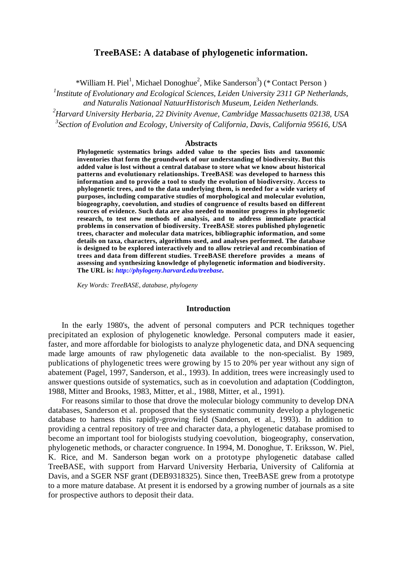# **TreeBASE: A database of phylogenetic information.**

\*William H. Piel<sup>1</sup>, Michael Donoghue<sup>2</sup>, Mike Sanderson<sup>3</sup>) (\* Contact Person)

*1 Institute of Evolutionary and Ecological Sciences, Leiden University 2311 GP Netherlands, and Naturalis Nationaal NatuurHistorisch Museum, Leiden Netherlands.*

*<sup>2</sup>Harvard University Herbaria, 22 Divinity Avenue, Cambridge Massachusetts 02138, USA 3 Section of Evolution and Ecology, University of California, Davis, California 95616, USA*

#### **Abstracts**

**Phylogenetic systematics brings added value to the species lists and taxonomic inventories that form the groundwork of our understanding of biodiversity. But this added value is lost without a central database to store what we know about historical patterns and evolutionary relationships. TreeBASE was developed to harness this information and to provide a tool to study the evolution of biodiversity. Access to phylogenetic trees, and to the data underlying them, is needed for a wide variety of purposes, including comparative studies of morphological and molecular evolution, biogeography, coevolution, and studies of congruence of results based on different sources of evidence. Such data are also needed to monitor progress in phylogenetic research, to test new methods of analysis, and to address immediate practical problems in conservation of biodiversity. TreeBASE stores published phylogenetic trees, character and molecular data matrices, bibliographic information, and some details on taxa, characters, algorithms used, and analyses performed. The database is designed to be explored interactively and to allow retrieval and recombination of trees and data from different studies. TreeBASE therefore provides a means of assessing and synthesizing knowledge of phylogenetic information and biodiversity. The URL is:** *http://phylogeny.harvard.edu/treebase***.**

*Key Words: TreeBASE, database, phylogeny*

### **Introduction**

In the early 1980's, the advent of personal computers and PCR techniques together precipitated an explosion of phylogenetic knowledge. Personal computers made it easier, faster, and more affordable for biologists to analyze phylogenetic data, and DNA sequencing made large amounts of raw phylogenetic data available to the non-specialist. By 1989, publications of phylogenetic trees were growing by 15 to 20% per year without any sign of abatement (Pagel, 1997, Sanderson, et al., 1993). In addition, trees were increasingly used to answer questions outside of systematics, such as in coevolution and adaptation (Coddington, 1988, Mitter and Brooks, 1983, Mitter, et al., 1988, Mitter, et al., 1991).

For reasons similar to those that drove the molecular biology community to develop DNA databases, Sanderson et al. proposed that the systematic community develop a phylogenetic database to harness this rapidly-growing field (Sanderson, et al., 1993). In addition to providing a central repository of tree and character data, a phylogenetic database promised to become an important tool for biologists studying coevolution, biogeography, conservation, phylogenetic methods, or character congruence. In 1994, M. Donoghue, T. Eriksson, W. Piel, K. Rice, and M. Sanderson began work on a prototype phylogenetic database called TreeBASE, with support from Harvard University Herbaria, University of California at Davis, and a SGER NSF grant (DEB9318325). Since then, TreeBASE grew from a prototype to a more mature database. At present it is endorsed by a growing number of journals as a site for prospective authors to deposit their data.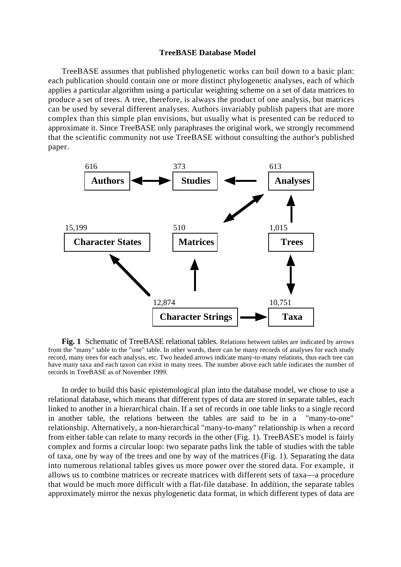## **TreeBASE Database Model**

TreeBASE assumes that published phylogenetic works can boil down to a basic plan: each publication should contain one or more distinct phylogenetic analyses, each of which applies a particular algorithm using a particular weighting scheme on a set of data matrices to produce a set of trees. A tree, therefore, is always the product of one analysis, but matrices can be used by several different analyses. Authors invariably publish papers that are more complex than this simple plan envisions, but usually what is presented can be reduced to approximate it. Since TreeBASE only paraphrases the original work, we strongly recommend that the scientific community not use TreeBASE without consulting the author's published paper.



**Fig. 1** Schematic of TreeBASE relational tables. Relations between tables are indicated by arrows from the "many" table to the "one" table. In other words, there can be many records of analyses for each study record, many trees for each analysis, etc. Two headed arrows indicate many-to-many relations, thus each tree can have many taxa and each taxon can exist in many trees. The number above each table indicates the number of records in TreeBASE as of November 1999.

In order to build this basic epistemological plan into the database model, we chose to use a relational database, which means that different types of data are stored in separate tables, each linked to another in a hierarchical chain. If a set of records in one table links to a single record in another table, the relations between the tables are said to be in a "many-to-one" relationship. Alternatively, a non-hierarchical "many-to-many" relationship is when a record from either table can relate to many records in the other (Fig. 1). TreeBASE's model is fairly complex and forms a circular loop: two separate paths link the table of studies with the table of taxa, one by way of the trees and one by way of the matrices (Fig. 1). Separating the data into numerous relational tables gives us more power over the stored data. For example, it allows us to combine matrices or recreate matrices with different sets of taxa—a procedure that would be much more difficult with a flat-file database. In addition, the separate tables approximately mirror the nexus phylogenetic data format, in which different types of data are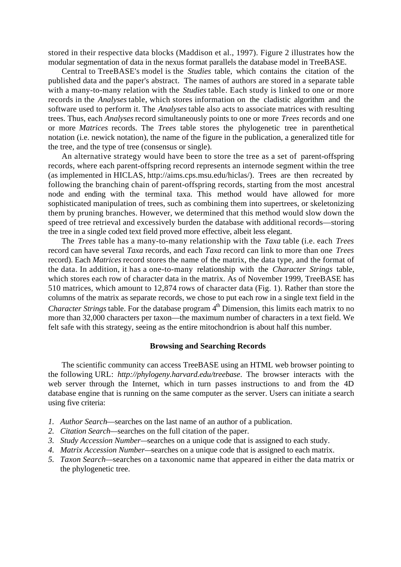stored in their respective data blocks (Maddison et al., 1997). Figure 2 illustrates how the modular segmentation of data in the nexus format parallels the database model in TreeBASE.

Central to TreeBASE's model is the *Studies* table, which contains the citation of the published data and the paper's abstract. The names of authors are stored in a separate table with a many-to-many relation with the *Studies* table. Each study is linked to one or more records in the *Analyses* table, which stores information on the cladistic algorithm and the software used to perform it. The *Analyses* table also acts to associate matrices with resulting trees. Thus, each *Analyses* record simultaneously points to one or more *Trees* records and one or more *Matrices* records. The *Trees* table stores the phylogenetic tree in parenthetical notation (i.e. newick notation), the name of the figure in the publication, a generalized title for the tree, and the type of tree (consensus or single).

An alternative strategy would have been to store the tree as a set of parent-offspring records, where each parent-offspring record represents an internode segment within the tree (as implemented in HICLAS, http://aims.cps.msu.edu/hiclas/). Trees are then recreated by following the branching chain of parent-offspring records, starting from the most ancestral node and ending with the terminal taxa. This method would have allowed for more sophisticated manipulation of trees, such as combining them into supertrees, or skeletonizing them by pruning branches. However, we determined that this method would slow down the speed of tree retrieval and excessively burden the database with additional records—storing the tree in a single coded text field proved more effective, albeit less elegant.

The *Trees* table has a many-to-many relationship with the *Taxa* table (i.e. each *Trees* record can have several *Taxa* records, and each *Taxa* record can link to more than one *Trees* record). Each *Matrices* record stores the name of the matrix, the data type, and the format of the data. In addition, it has a one-to-many relationship with the *Character Strings* table, which stores each row of character data in the matrix. As of November 1999, TreeBASE has 510 matrices, which amount to 12,874 rows of character data (Fig. 1). Rather than store the columns of the matrix as separate records, we chose to put each row in a single text field in the *Character Strings* table. For the database program 4<sup>th</sup> Dimension, this limits each matrix to no more than 32,000 characters per taxon—the maximum number of characters in a text field. We felt safe with this strategy, seeing as the entire mitochondrion is about half this number.

## **Browsing and Searching Records**

The scientific community can access TreeBASE using an HTML web browser pointing to the following URL: *http://phylogeny.harvard.edu/treebase*. The browser interacts with the web server through the Internet, which in turn passes instructions to and from the 4D database engine that is running on the same computer as the server. Users can initiate a search using five criteria:

- *1. Author Search*—searches on the last name of an author of a publication.
- *2. Citation Search—*searches on the full citation of the paper.
- *3. Study Accession Number—*searches on a unique code that is assigned to each study.
- *4. Matrix Accession Number—*searches on a unique code that is assigned to each matrix.
- *5. Taxon Search—*searches on a taxonomic name that appeared in either the data matrix or the phylogenetic tree.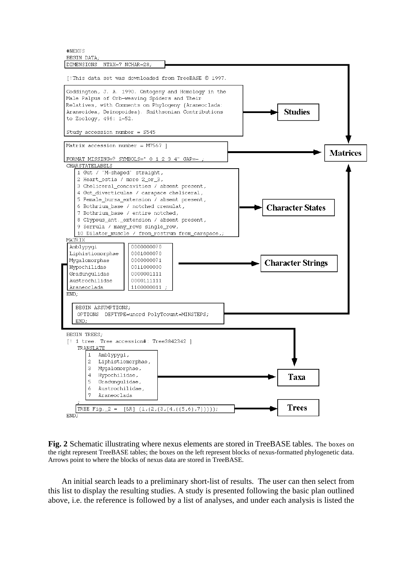#NEXUS **BEGIN DATA** 



**Fig. 2** Schematic illustrating where nexus elements are stored in TreeBASE tables. The boxes on the right represent TreeBASE tables; the boxes on the left represent blocks of nexus-formatted phylogenetic data. Arrows point to where the blocks of nexus data are stored in TreeBASE.

An initial search leads to a preliminary short-list of results. The user can then select from this list to display the resulting studies. A study is presented following the basic plan outlined above, i.e. the reference is followed by a list of analyses, and under each analysis is listed the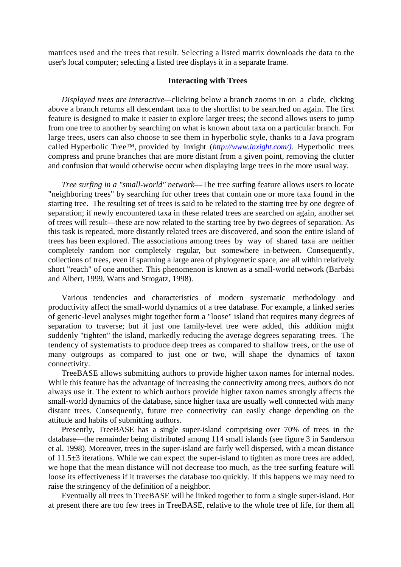matrices used and the trees that result. Selecting a listed matrix downloads the data to the user's local computer; selecting a listed tree displays it in a separate frame.

## **Interacting with Trees**

*Displayed trees are interactive—*clicking below a branch zooms in on a clade, clicking above a branch returns all descendant taxa to the shortlist to be searched on again. The first feature is designed to make it easier to explore larger trees; the second allows users to jump from one tree to another by searching on what is known about taxa on a particular branch. For large trees, users can also choose to see them in hyperbolic style, thanks to a Java program called Hyperbolic Tree™, provided by Inxight (*http://www.inxight.com/)*. Hyperbolic trees compress and prune branches that are more distant from a given point, removing the clutter and confusion that would otherwise occur when displaying large trees in the more usual way.

*Tree surfing in a "small-world" network*—The tree surfing feature allows users to locate "neighboring trees" by searching for other trees that contain one or more taxa found in the starting tree. The resulting set of trees is said to be related to the starting tree by one degree of separation; if newly encountered taxa in these related trees are searched on again, another set of trees will result—these are now related to the starting tree by two degrees of separation. As this task is repeated, more distantly related trees are discovered, and soon the entire island of trees has been explored. The associations among trees by way of shared taxa are neither completely random nor completely regular, but somewhere in-between. Consequently, collections of trees, even if spanning a large area of phylogenetic space, are all within relatively short "reach" of one another. This phenomenon is known as a small-world network (Barbási and Albert, 1999, Watts and Strogatz, 1998).

Various tendencies and characteristics of modern systematic methodology and productivity affect the small-world dynamics of a tree database. For example, a linked series of generic-level analyses might together form a "loose" island that requires many degrees of separation to traverse; but if just one family-level tree were added, this addition might suddenly "tighten" the island, markedly reducing the average degrees separating trees. The tendency of systematists to produce deep trees as compared to shallow trees, or the use of many outgroups as compared to just one or two, will shape the dynamics of taxon connectivity.

TreeBASE allows submitting authors to provide higher taxon names for internal nodes. While this feature has the advantage of increasing the connectivity among trees, authors do not always use it. The extent to which authors provide higher taxon names strongly affects the small-world dynamics of the database, since higher taxa are usually well connected with many distant trees. Consequently, future tree connectivity can easily change depending on the attitude and habits of submitting authors.

Presently, TreeBASE has a single super-island comprising over 70% of trees in the database—the remainder being distributed among 114 small islands (see figure 3 in Sanderson et al. 1998). Moreover, trees in the super-island are fairly well dispersed, with a mean distance of 11.5±3 iterations. While we can expect the super-island to tighten as more trees are added, we hope that the mean distance will not decrease too much, as the tree surfing feature will loose its effectiveness if it traverses the database too quickly. If this happens we may need to raise the stringency of the definition of a neighbor.

Eventually all trees in TreeBASE will be linked together to form a single super-island. But at present there are too few trees in TreeBASE, relative to the whole tree of life, for them all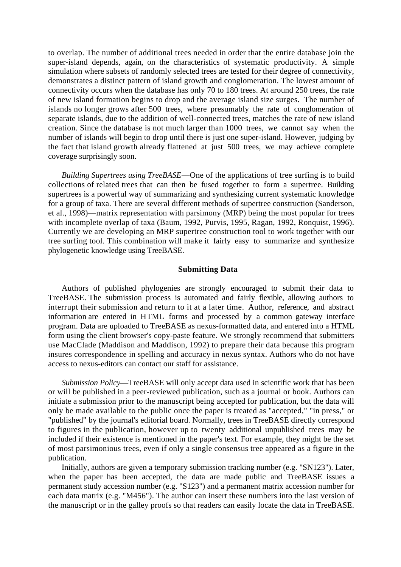to overlap. The number of additional trees needed in order that the entire database join the super-island depends, again, on the characteristics of systematic productivity. A simple simulation where subsets of randomly selected trees are tested for their degree of connectivity, demonstrates a distinct pattern of island growth and conglomeration. The lowest amount of connectivity occurs when the database has only 70 to 180 trees. At around 250 trees, the rate of new island formation begins to drop and the average island size surges. The number of islands no longer grows after 500 trees, where presumably the rate of conglomeration of separate islands, due to the addition of well-connected trees, matches the rate of new island creation. Since the database is not much larger than 1000 trees, we cannot say when the number of islands will begin to drop until there is just one super-island. However, judging by the fact that island growth already flattened at just 500 trees, we may achieve complete coverage surprisingly soon.

*Building Supertrees using TreeBASE*—One of the applications of tree surfing is to build collections of related trees that can then be fused together to form a supertree. Building supertrees is a powerful way of summarizing and synthesizing current systematic knowledge for a group of taxa. There are several different methods of supertree construction (Sanderson, et al., 1998)—matrix representation with parsimony (MRP) being the most popular for trees with incomplete overlap of taxa (Baum, 1992, Purvis, 1995, Ragan, 1992, Ronquist, 1996). Currently we are developing an MRP supertree construction tool to work together with our tree surfing tool. This combination will make it fairly easy to summarize and synthesize phylogenetic knowledge using TreeBASE.

## **Submitting Data**

Authors of published phylogenies are strongly encouraged to submit their data to TreeBASE. The submission process is automated and fairly flexible, allowing authors to interrupt their submission and return to it at a later time. Author, reference, and abstract information are entered in HTML forms and processed by a common gateway interface program. Data are uploaded to TreeBASE as nexus-formatted data, and entered into a HTML form using the client browser's copy-paste feature. We strongly recommend that submitters use MacClade (Maddison and Maddison, 1992) to prepare their data because this program insures correspondence in spelling and accuracy in nexus syntax. Authors who do not have access to nexus-editors can contact our staff for assistance.

*Submission Policy*—TreeBASE will only accept data used in scientific work that has been or will be published in a peer-reviewed publication, such as a journal or book. Authors can initiate a submission prior to the manuscript being accepted for publication, but the data will only be made available to the public once the paper is treated as "accepted," "in press," or "published" by the journal's editorial board. Normally, trees in TreeBASE directly correspond to figures in the publication, however up to twenty additional unpublished trees may be included if their existence is mentioned in the paper's text. For example, they might be the set of most parsimonious trees, even if only a single consensus tree appeared as a figure in the publication.

Initially, authors are given a temporary submission tracking number (e.g. "SN123"). Later, when the paper has been accepted, the data are made public and TreeBASE issues a permanent study accession number (e.g. "S123") and a permanent matrix accession number for each data matrix (e.g. "M456"). The author can insert these numbers into the last version of the manuscript or in the galley proofs so that readers can easily locate the data in TreeBASE.